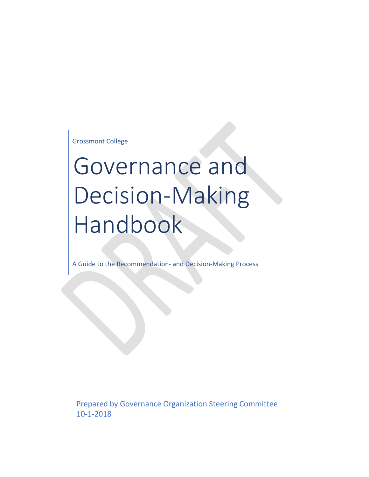Grossmont College

# Governance and Decision-Making Handbook

A Guide to the Recommendation- and Decision-Making Process

Prepared by Governance Organization Steering Committee 10-1-2018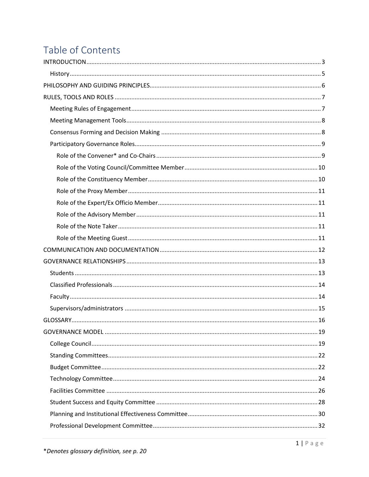# Table of Contents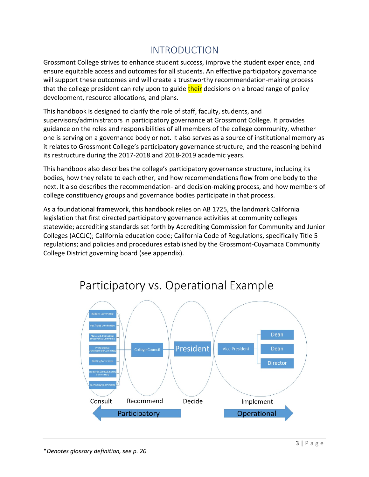# INTRODUCTION

<span id="page-3-0"></span>Grossmont College strives to enhance student success, improve the student experience, and ensure equitable access and outcomes for all students. An effective participatory governance will support these outcomes and will create a trustworthy recommendation-making process that the college president can rely upon to guide their decisions on a broad range of policy development, resource allocations, and plans.

This handbook is designed to clarify the role of staff, faculty, students, and supervisors/administrators in participatory governance at Grossmont College. It provides guidance on the roles and responsibilities of all members of the college community, whether one is serving on a governance body or not. It also serves as a source of institutional memory as it relates to Grossmont College's participatory governance structure, and the reasoning behind its restructure during the 2017-2018 and 2018-2019 academic years.

This handbook also describes the college's participatory governance structure, including its bodies, how they relate to each other, and how recommendations flow from one body to the next. It also describes the recommendation- and decision-making process, and how members of college constituency groups and governance bodies participate in that process.

As a foundational framework, this handbook relies on AB 1725, the landmark California legislation that first directed participatory governance activities at community colleges statewide; accrediting standards set forth by Accrediting Commission for Community and Junior Colleges (ACCJC); California education code; California Code of Regulations, specifically Title 5 regulations; and policies and procedures established by the Grossmont-Cuyamaca Community College District governing board (see appendix).



# Participatory vs. Operational Example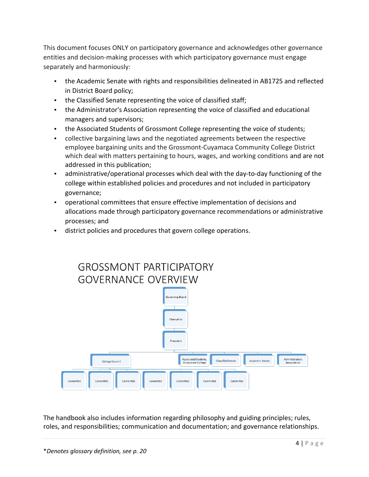This document focuses ONLY on participatory governance and acknowledges other governance entities and decision-making processes with which participatory governance must engage separately and harmoniously:

- the Academic Senate with rights and responsibilities delineated in AB1725 and reflected in District Board policy;
- the Classified Senate representing the voice of classified staff;
- the Administrator's Association representing the voice of classified and educational managers and supervisors;
- the Associated Students of Grossmont College representing the voice of students;
- collective bargaining laws and the negotiated agreements between the respective employee bargaining units and the Grossmont-Cuyamaca Community College District which deal with matters pertaining to hours, wages, and working conditions and are not addressed in this publication;
- administrative/operational processes which deal with the day-to-day functioning of the college within established policies and procedures and not included in participatory governance;
- operational committees that ensure effective implementation of decisions and allocations made through participatory governance recommendations or administrative processes; and
- district policies and procedures that govern college operations.



The handbook also includes information regarding philosophy and guiding principles; rules, roles, and responsibilities; communication and documentation; and governance relationships.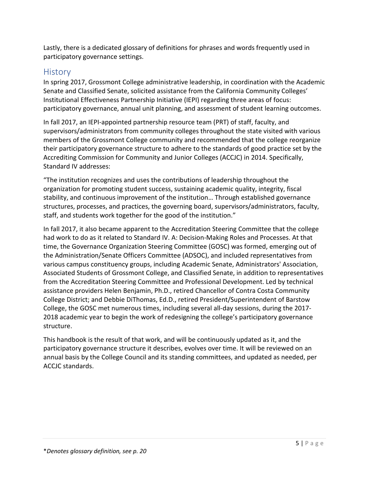Lastly, there is a dedicated glossary of definitions for phrases and words frequently used in participatory governance settings.

### <span id="page-5-0"></span>**History**

In spring 2017, Grossmont College administrative leadership, in coordination with the Academic Senate and Classified Senate, solicited assistance from the California Community Colleges' Institutional Effectiveness Partnership Initiative (IEPI) regarding three areas of focus: participatory governance, annual unit planning, and assessment of student learning outcomes.

In fall 2017, an IEPI-appointed partnership resource team (PRT) of staff, faculty, and supervisors/administrators from community colleges throughout the state visited with various members of the Grossmont College community and recommended that the college reorganize their participatory governance structure to adhere to the standards of good practice set by the Accrediting Commission for Community and Junior Colleges (ACCJC) in 2014. Specifically, Standard IV addresses:

"The institution recognizes and uses the contributions of leadership throughout the organization for promoting student success, sustaining academic quality, integrity, fiscal stability, and continuous improvement of the institution… Through established governance structures, processes, and practices, the governing board, supervisors/administrators, faculty, staff, and students work together for the good of the institution."

In fall 2017, it also became apparent to the Accreditation Steering Committee that the college had work to do as it related to Standard IV. A: Decision-Making Roles and Processes. At that time, the Governance Organization Steering Committee (GOSC) was formed, emerging out of the Administration/Senate Officers Committee (ADSOC), and included representatives from various campus constituency groups, including Academic Senate, Administrators' Association, Associated Students of Grossmont College, and Classified Senate, in addition to representatives from the Accreditation Steering Committee and Professional Development. Led by technical assistance providers Helen Benjamin, Ph.D., retired Chancellor of Contra Costa Community College District; and Debbie DiThomas, Ed.D., retired President/Superintendent of Barstow College, the GOSC met numerous times, including several all-day sessions, during the 2017- 2018 academic year to begin the work of redesigning the college's participatory governance structure.

This handbook is the result of that work, and will be continuously updated as it, and the participatory governance structure it describes, evolves over time. It will be reviewed on an annual basis by the College Council and its standing committees, and updated as needed, per ACCJC standards.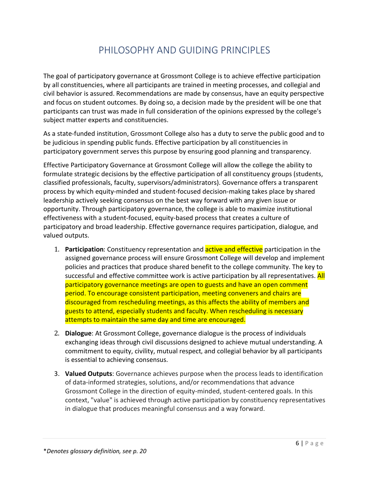# PHILOSOPHY AND GUIDING PRINCIPLES

<span id="page-6-0"></span>The goal of participatory governance at Grossmont College is to achieve effective participation by all constituencies, where all participants are trained in meeting processes, and collegial and civil behavior is assured. Recommendations are made by consensus, have an equity perspective and focus on student outcomes. By doing so, a decision made by the president will be one that participants can trust was made in full consideration of the opinions expressed by the college's subject matter experts and constituencies.

As a state-funded institution, Grossmont College also has a duty to serve the public good and to be judicious in spending public funds. Effective participation by all constituencies in participatory government serves this purpose by ensuring good planning and transparency.

Effective Participatory Governance at Grossmont College will allow the college the ability to formulate strategic decisions by the effective participation of all constituency groups (students, classified professionals, faculty, supervisors/administrators). Governance offers a transparent process by which equity-minded and student-focused decision-making takes place by shared leadership actively seeking consensus on the best way forward with any given issue or opportunity. Through participatory governance, the college is able to maximize institutional effectiveness with a student-focused, equity-based process that creates a culture of participatory and broad leadership. Effective governance requires participation, dialogue, and valued outputs.

- 1. **Participation**: Constituency representation and active and effective participation in the assigned governance process will ensure Grossmont College will develop and implement policies and practices that produce shared benefit to the college community. The key to successful and effective committee work is active participation by all representatives. All participatory governance meetings are open to guests and have an open comment period. To encourage consistent participation, meeting conveners and chairs are discouraged from rescheduling meetings, as this affects the ability of members and guests to attend, especially students and faculty. When rescheduling is necessary attempts to maintain the same day and time are encouraged.
- 2. **Dialogue**: At Grossmont College, governance dialogue is the process of individuals exchanging ideas through civil discussions designed to achieve mutual understanding. A commitment to equity, civility, mutual respect, and collegial behavior by all participants is essential to achieving consensus.
- 3. **Valued Outputs**: Governance achieves purpose when the process leads to identification of data-informed strategies, solutions, and/or recommendations that advance Grossmont College in the direction of equity-minded, student-centered goals. In this context, "value" is achieved through active participation by constituency representatives in dialogue that produces meaningful consensus and a way forward.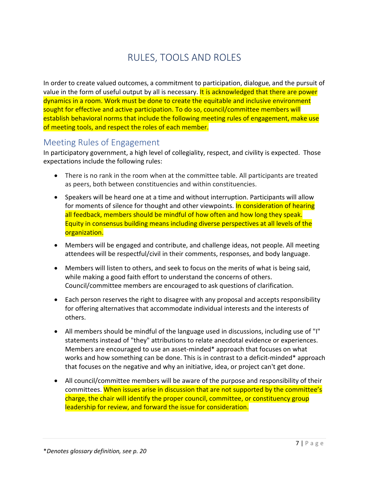# RULES, TOOLS AND ROLES

<span id="page-7-0"></span>In order to create valued outcomes, a commitment to participation, dialogue, and the pursuit of value in the form of useful output by all is necessary. It is acknowledged that there are power dynamics in a room. Work must be done to create the equitable and inclusive environment sought for effective and active participation. To do so, council/committee members will establish behavioral norms that include the following meeting rules of engagement, make use of meeting tools, and respect the roles of each member.

#### <span id="page-7-1"></span>Meeting Rules of Engagement

In participatory government, a high level of collegiality, respect, and civility is expected. Those expectations include the following rules:

- There is no rank in the room when at the committee table. All participants are treated as peers, both between constituencies and within constituencies.
- Speakers will be heard one at a time and without interruption. Participants will allow for moments of silence for thought and other viewpoints. In consideration of hearing all feedback, members should be mindful of how often and how long they speak. Equity in consensus building means including diverse perspectives at all levels of the organization.
- Members will be engaged and contribute, and challenge ideas, not people. All meeting attendees will be respectful/civil in their comments, responses, and body language.
- Members will listen to others, and seek to focus on the merits of what is being said, while making a good faith effort to understand the concerns of others. Council/committee members are encouraged to ask questions of clarification.
- Each person reserves the right to disagree with any proposal and accepts responsibility for offering alternatives that accommodate individual interests and the interests of others.
- All members should be mindful of the language used in discussions, including use of "I" statements instead of "they" attributions to relate anecdotal evidence or experiences. Members are encouraged to use an asset-minded\* approach that focuses on what works and how something can be done. This is in contrast to a deficit-minded\* approach that focuses on the negative and why an initiative, idea, or project can't get done.
- All council/committee members will be aware of the purpose and responsibility of their committees. When issues arise in discussion that are not supported by the committee's charge, the chair will identify the proper council, committee, or constituency group leadership for review, and forward the issue for consideration.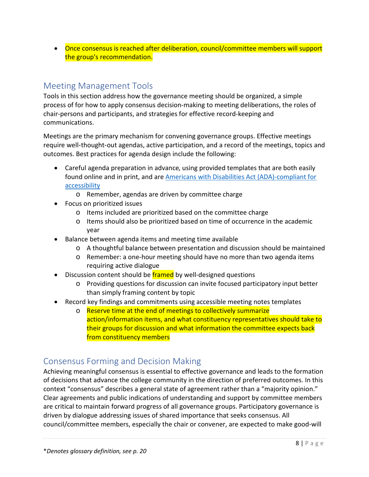• Once consensus is reached after deliberation, council/committee members will support the group's recommendation.

## <span id="page-8-0"></span>Meeting Management Tools

Tools in this section address how the governance meeting should be organized, a simple process of for how to apply consensus decision-making to meeting deliberations, the roles of chair-persons and participants, and strategies for effective record-keeping and communications.

Meetings are the primary mechanism for convening governance groups. Effective meetings require well-thought-out agendas, active participation, and a record of the meetings, topics and outcomes. Best practices for agenda design include the following:

- Careful agenda preparation in advance, using provided templates that are both easily found online and in print, and ar[e Americans with Disabilities Act \(ADA\)-compliant for](https://www.gcccd.edu/it/websites-cascade/accessibility-getting-started.html)  [accessibility](https://www.gcccd.edu/it/websites-cascade/accessibility-getting-started.html)
	- o Remember, agendas are driven by committee charge
- Focus on prioritized issues
	- o Items included are prioritized based on the committee charge
	- o Items should also be prioritized based on time of occurrence in the academic year
- Balance between agenda items and meeting time available
	- o A thoughtful balance between presentation and discussion should be maintained
	- o Remember: a one-hour meeting should have no more than two agenda items requiring active dialogue
- Discussion content should be **framed** by well-designed questions
	- o Providing questions for discussion can invite focused participatory input better than simply framing content by topic
- Record key findings and commitments using accessible meeting notes templates
	- o Reserve time at the end of meetings to collectively summarize action/information items, and what constituency representatives should take to their groups for discussion and what information the committee expects back from constituency members

## <span id="page-8-1"></span>Consensus Forming and Decision Making

Achieving meaningful consensus is essential to effective governance and leads to the formation of decisions that advance the college community in the direction of preferred outcomes. In this context "consensus" describes a general state of agreement rather than a "majority opinion." Clear agreements and public indications of understanding and support by committee members are critical to maintain forward progress of all governance groups. Participatory governance is driven by dialogue addressing issues of shared importance that seeks consensus. All council/committee members, especially the chair or convener, are expected to make good-will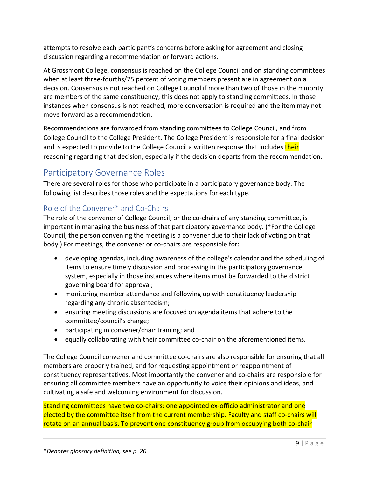attempts to resolve each participant's concerns before asking for agreement and closing discussion regarding a recommendation or forward actions.

At Grossmont College, consensus is reached on the College Council and on standing committees when at least three-fourths/75 percent of voting members present are in agreement on a decision. Consensus is not reached on College Council if more than two of those in the minority are members of the same constituency; this does not apply to standing committees. In those instances when consensus is not reached, more conversation is required and the item may not move forward as a recommendation.

Recommendations are forwarded from standing committees to College Council, and from College Council to the College President. The College President is responsible for a final decision and is expected to provide to the College Council a written response that includes their reasoning regarding that decision, especially if the decision departs from the recommendation.

## <span id="page-9-0"></span>Participatory Governance Roles

There are several roles for those who participate in a participatory governance body. The following list describes those roles and the expectations for each type.

#### <span id="page-9-1"></span>Role of the Convener\* and Co-Chairs

The role of the convener of College Council, or the co-chairs of any standing committee, is important in managing the business of that participatory governance body. (\*For the College Council, the person convening the meeting is a convener due to their lack of voting on that body.) For meetings, the convener or co-chairs are responsible for:

- developing agendas, including awareness of the college's calendar and the scheduling of items to ensure timely discussion and processing in the participatory governance system, especially in those instances where items must be forwarded to the district governing board for approval;
- monitoring member attendance and following up with constituency leadership regarding any chronic absenteeism;
- ensuring meeting discussions are focused on agenda items that adhere to the committee/council's charge;
- participating in convener/chair training; and
- equally collaborating with their committee co-chair on the aforementioned items.

The College Council convener and committee co-chairs are also responsible for ensuring that all members are properly trained, and for requesting appointment or reappointment of constituency representatives. Most importantly the convener and co-chairs are responsible for ensuring all committee members have an opportunity to voice their opinions and ideas, and cultivating a safe and welcoming environment for discussion.

Standing committees have two co-chairs: one appointed ex-officio administrator and one elected by the committee itself from the current membership. Faculty and staff co-chairs will rotate on an annual basis. To prevent one constituency group from occupying both co-chair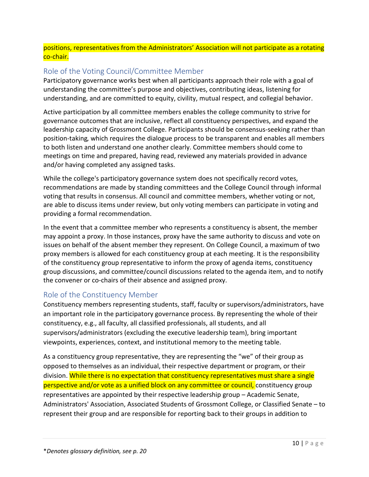positions, representatives from the Administrators' Association will not participate as a rotating co-chair.

#### <span id="page-10-0"></span>Role of the Voting Council/Committee Member

Participatory governance works best when all participants approach their role with a goal of understanding the committee's purpose and objectives, contributing ideas, listening for understanding, and are committed to equity, civility, mutual respect, and collegial behavior.

Active participation by all committee members enables the college community to strive for governance outcomes that are inclusive, reflect all constituency perspectives, and expand the leadership capacity of Grossmont College. Participants should be consensus-seeking rather than position-taking, which requires the dialogue process to be transparent and enables all members to both listen and understand one another clearly. Committee members should come to meetings on time and prepared, having read, reviewed any materials provided in advance and/or having completed any assigned tasks.

While the college's participatory governance system does not specifically record votes, recommendations are made by standing committees and the College Council through informal voting that results in consensus. All council and committee members, whether voting or not, are able to discuss items under review, but only voting members can participate in voting and providing a formal recommendation.

In the event that a committee member who represents a constituency is absent, the member may appoint a proxy. In those instances, proxy have the same authority to discuss and vote on issues on behalf of the absent member they represent. On College Council, a maximum of two proxy members is allowed for each constituency group at each meeting. It is the responsibility of the constituency group representative to inform the proxy of agenda items, constituency group discussions, and committee/council discussions related to the agenda item, and to notify the convener or co-chairs of their absence and assigned proxy.

#### <span id="page-10-1"></span>Role of the Constituency Member

Constituency members representing students, staff, faculty or supervisors/administrators, have an important role in the participatory governance process. By representing the whole of their constituency, e.g., all faculty, all classified professionals, all students, and all supervisors/administrators (excluding the executive leadership team), bring important viewpoints, experiences, context, and institutional memory to the meeting table.

As a constituency group representative, they are representing the "we" of their group as opposed to themselves as an individual, their respective department or program, or their division. While there is no expectation that constituency representatives must share a single perspective and/or vote as a unified block on any committee or council, constituency group representatives are appointed by their respective leadership group – Academic Senate, Administrators' Association, Associated Students of Grossmont College, or Classified Senate – to represent their group and are responsible for reporting back to their groups in addition to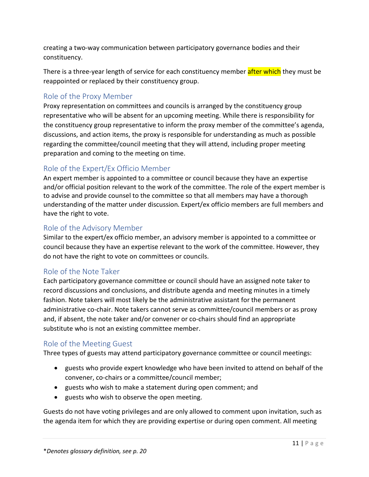creating a two-way communication between participatory governance bodies and their constituency.

There is a three-year length of service for each constituency member after which they must be reappointed or replaced by their constituency group.

#### <span id="page-11-0"></span>Role of the Proxy Member

Proxy representation on committees and councils is arranged by the constituency group representative who will be absent for an upcoming meeting. While there is responsibility for the constituency group representative to inform the proxy member of the committee's agenda, discussions, and action items, the proxy is responsible for understanding as much as possible regarding the committee/council meeting that they will attend, including proper meeting preparation and coming to the meeting on time.

#### <span id="page-11-1"></span>Role of the Expert/Ex Officio Member

An expert member is appointed to a committee or council because they have an expertise and/or official position relevant to the work of the committee. The role of the expert member is to advise and provide counsel to the committee so that all members may have a thorough understanding of the matter under discussion. Expert/ex officio members are full members and have the right to vote.

#### <span id="page-11-2"></span>Role of the Advisory Member

Similar to the expert/ex officio member, an advisory member is appointed to a committee or council because they have an expertise relevant to the work of the committee. However, they do not have the right to vote on committees or councils.

#### <span id="page-11-3"></span>Role of the Note Taker

Each participatory governance committee or council should have an assigned note taker to record discussions and conclusions, and distribute agenda and meeting minutes in a timely fashion. Note takers will most likely be the administrative assistant for the permanent administrative co-chair. Note takers cannot serve as committee/council members or as proxy and, if absent, the note taker and/or convener or co-chairs should find an appropriate substitute who is not an existing committee member.

#### <span id="page-11-4"></span>Role of the Meeting Guest

Three types of guests may attend participatory governance committee or council meetings:

- guests who provide expert knowledge who have been invited to attend on behalf of the convener, co-chairs or a committee/council member;
- guests who wish to make a statement during open comment; and
- guests who wish to observe the open meeting.

Guests do not have voting privileges and are only allowed to comment upon invitation, such as the agenda item for which they are providing expertise or during open comment. All meeting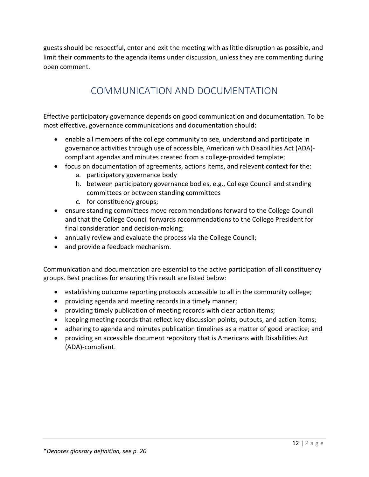<span id="page-12-0"></span>guests should be respectful, enter and exit the meeting with as little disruption as possible, and limit their comments to the agenda items under discussion, unless they are commenting during open comment.

# COMMUNICATION AND DOCUMENTATION

Effective participatory governance depends on good communication and documentation. To be most effective, governance communications and documentation should:

- enable all members of the college community to see, understand and participate in governance activities through use of accessible, American with Disabilities Act (ADA) compliant agendas and minutes created from a college-provided template;
- focus on documentation of agreements, actions items, and relevant context for the:
	- a. participatory governance body
	- b. between participatory governance bodies, e.g., College Council and standing committees or between standing committees
	- c. for constituency groups;
- ensure standing committees move recommendations forward to the College Council and that the College Council forwards recommendations to the College President for final consideration and decision-making;
- annually review and evaluate the process via the College Council;
- and provide a feedback mechanism.

Communication and documentation are essential to the active participation of all constituency groups. Best practices for ensuring this result are listed below:

- establishing outcome reporting protocols accessible to all in the community college;
- providing agenda and meeting records in a timely manner;
- providing timely publication of meeting records with clear action items;
- keeping meeting records that reflect key discussion points, outputs, and action items;
- adhering to agenda and minutes publication timelines as a matter of good practice; and
- providing an accessible document repository that is Americans with Disabilities Act (ADA)-compliant.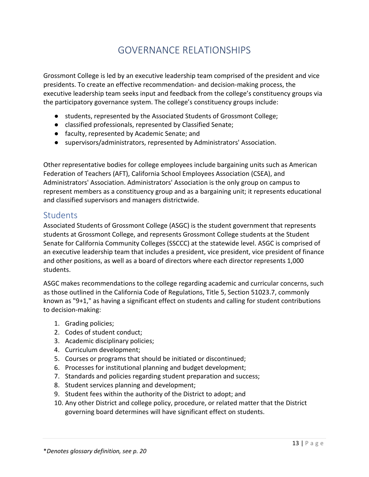# GOVERNANCE RELATIONSHIPS

<span id="page-13-0"></span>Grossmont College is led by an executive leadership team comprised of the president and vice presidents. To create an effective recommendation- and decision-making process, the executive leadership team seeks input and feedback from the college's constituency groups via the participatory governance system. The college's constituency groups include:

- students, represented by the Associated Students of Grossmont College;
- classified professionals, represented by Classified Senate;
- faculty, represented by Academic Senate; and
- supervisors/administrators, represented by Administrators' Association.

Other representative bodies for college employees include bargaining units such as American Federation of Teachers (AFT), California School Employees Association (CSEA), and Administrators' Association. Administrators' Association is the only group on campus to represent members as a constituency group and as a bargaining unit; it represents educational and classified supervisors and managers districtwide.

#### <span id="page-13-1"></span>**Students**

Associated Students of Grossmont College (ASGC) is the student government that represents students at Grossmont College, and represents Grossmont College students at the Student Senate for California Community Colleges (SSCCC) at the statewide level. ASGC is comprised of an executive leadership team that includes a president, vice president, vice president of finance and other positions, as well as a board of directors where each director represents 1,000 students.

ASGC makes recommendations to the college regarding academic and curricular concerns, such as those outlined in the California Code of Regulations, Title 5, Section 51023.7, commonly known as "9+1," as having a significant effect on students and calling for student contributions to decision-making:

- 1. Grading policies;
- 2. Codes of student conduct;
- 3. Academic disciplinary policies;
- 4. Curriculum development;
- 5. Courses or programs that should be initiated or discontinued;
- 6. Processes for institutional planning and budget development;
- 7. Standards and policies regarding student preparation and success;
- 8. Student services planning and development;
- 9. Student fees within the authority of the District to adopt; and
- 10. Any other District and college policy, procedure, or related matter that the District governing board determines will have significant effect on students.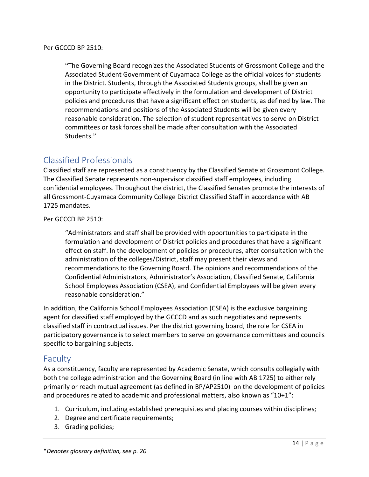"The Governing Board recognizes the Associated Students of Grossmont College and the Associated Student Government of Cuyamaca College as the official voices for students in the District. Students, through the Associated Students groups, shall be given an opportunity to participate effectively in the formulation and development of District policies and procedures that have a significant effect on students, as defined by law. The recommendations and positions of the Associated Students will be given every reasonable consideration. The selection of student representatives to serve on District committees or task forces shall be made after consultation with the Associated Students."

## <span id="page-14-0"></span>Classified Professionals

Classified staff are represented as a constituency by the Classified Senate at Grossmont College. The Classified Senate represents non-supervisor classified staff employees, including confidential employees. Throughout the district, the Classified Senates promote the interests of all Grossmont-Cuyamaca Community College District Classified Staff in accordance with AB 1725 mandates.

Per GCCCD BP 2510:

"Administrators and staff shall be provided with opportunities to participate in the formulation and development of District policies and procedures that have a significant effect on staff. In the development of policies or procedures, after consultation with the administration of the colleges/District, staff may present their views and recommendations to the Governing Board. The opinions and recommendations of the Confidential Administrators, Administrator's Association, Classified Senate, California School Employees Association (CSEA), and Confidential Employees will be given every reasonable consideration."

In addition, the California School Employees Association (CSEA) is the exclusive bargaining agent for classified staff employed by the GCCCD and as such negotiates and represents classified staff in contractual issues. Per the district governing board, the role for CSEA in participatory governance is to select members to serve on governance committees and councils specific to bargaining subjects.

#### <span id="page-14-1"></span>Faculty

As a constituency, faculty are represented by Academic Senate, which consults collegially with both the college administration and the Governing Board (in line with AB 1725) to either rely primarily or reach mutual agreement (as defined in BP/AP2510) on the development of policies and procedures related to academic and professional matters, also known as "10+1":

- 1. Curriculum, including established prerequisites and placing courses within disciplines;
- 2. Degree and certificate requirements;
- 3. Grading policies;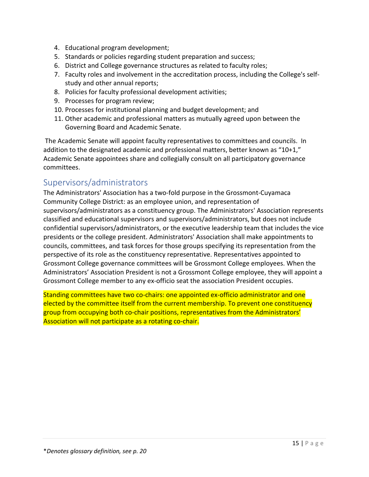- 4. Educational program development;
- 5. Standards or policies regarding student preparation and success;
- 6. District and College governance structures as related to faculty roles;
- 7. Faculty roles and involvement in the accreditation process, including the College's selfstudy and other annual reports;
- 8. Policies for faculty professional development activities;
- 9. Processes for program review;
- 10. Processes for institutional planning and budget development; and
- 11. Other academic and professional matters as mutually agreed upon between the Governing Board and Academic Senate.

The Academic Senate will appoint faculty representatives to committees and councils. In addition to the designated academic and professional matters, better known as "10+1," Academic Senate appointees share and collegially consult on all participatory governance committees.

## <span id="page-15-0"></span>Supervisors/administrators

The Administrators' Association has a two-fold purpose in the Grossmont-Cuyamaca Community College District: as an employee union, and representation of supervisors/administrators as a constituency group. The Administrators' Association represents classified and educational supervisors and supervisors/administrators, but does not include confidential supervisors/administrators, or the executive leadership team that includes the vice presidents or the college president. Administrators' Association shall make appointments to councils, committees, and task forces for those groups specifying its representation from the perspective of its role as the constituency representative. Representatives appointed to Grossmont College governance committees will be Grossmont College employees. When the Administrators' Association President is not a Grossmont College employee, they will appoint a Grossmont College member to any ex-officio seat the association President occupies.

Standing committees have two co-chairs: one appointed ex-officio administrator and one elected by the committee itself from the current membership. To prevent one constituency group from occupying both co-chair positions, representatives from the Administrators' Association will not participate as a rotating co-chair.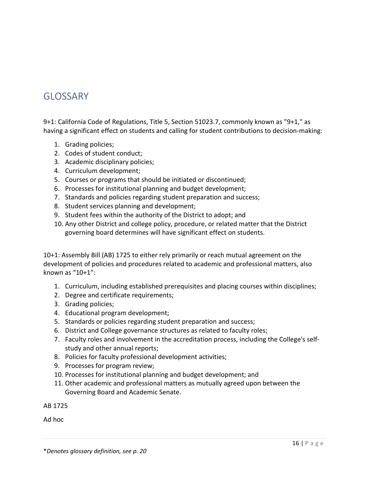## <span id="page-16-0"></span>GLOSSARY

9+1: California Code of Regulations, Title 5, Section 51023.7, commonly known as "9+1," as having a significant effect on students and calling for student contributions to decision-making:

- 1. Grading policies;
- 2. Codes of student conduct;
- 3. Academic disciplinary policies;
- 4. Curriculum development;
- 5. Courses or programs that should be initiated or discontinued;
- 6. Processes for institutional planning and budget development;
- 7. Standards and policies regarding student preparation and success;
- 8. Student services planning and development;
- 9. Student fees within the authority of the District to adopt; and
- 10. Any other District and college policy, procedure, or related matter that the District governing board determines will have significant effect on students.

10+1: Assembly Bill (AB) 1725 to either rely primarily or reach mutual agreement on the development of policies and procedures related to academic and professional matters, also known as "10+1":

- 1. Curriculum, including established prerequisites and placing courses within disciplines;
- 2. Degree and certificate requirements;
- 3. Grading policies;
- 4. Educational program development;
- 5. Standards or policies regarding student preparation and success;
- 6. District and College governance structures as related to faculty roles;
- 7. Faculty roles and involvement in the accreditation process, including the College's selfstudy and other annual reports;
- 8. Policies for faculty professional development activities;
- 9. Processes for program review;
- 10. Processes for institutional planning and budget development; and
- 11. Other academic and professional matters as mutually agreed upon between the Governing Board and Academic Senate.

#### AB 1725

Ad hoc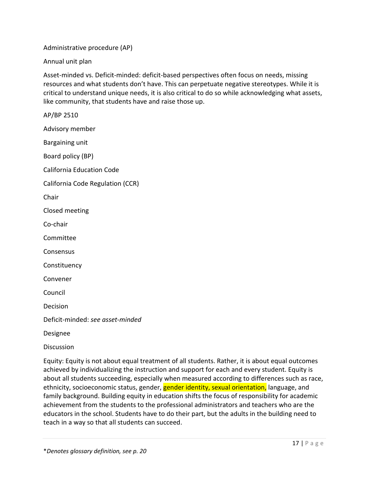Administrative procedure (AP)

Annual unit plan

Asset-minded vs. Deficit-minded: deficit-based perspectives often focus on needs, missing resources and what students don't have. This can perpetuate negative stereotypes. While it is critical to understand unique needs, it is also critical to do so while acknowledging what assets, like community, that students have and raise those up.

AP/BP 2510 Advisory member Bargaining unit Board policy (BP) California Education Code California Code Regulation (CCR) Chair Closed meeting Co-chair Committee **Consensus Constituency** Convener Council Decision Deficit-minded: *see asset-minded*  Designee

Discussion

Equity: Equity is not about equal treatment of all students. Rather, it is about equal outcomes achieved by individualizing the instruction and support for each and every student. Equity is about all students succeeding, especially when measured according to differences such as race, ethnicity, socioeconomic status, gender, *gender identity*, sexual orientation, language, and family background. Building equity in education shifts the focus of responsibility for academic achievement from the students to the professional administrators and teachers who are the educators in the school. Students have to do their part, but the adults in the building need to teach in a way so that all students can succeed.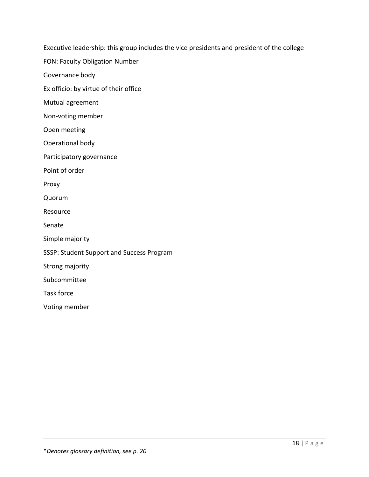Executive leadership: this group includes the vice presidents and president of the college

FON: Faculty Obligation Number

Governance body

Ex officio: by virtue of their office

Mutual agreement

Non-voting member

Open meeting

Operational body

Participatory governance

Point of order

Proxy

Quorum

Resource

Senate

Simple majority

SSSP: Student Support and Success Program

Strong majority

Subcommittee

Task force

Voting member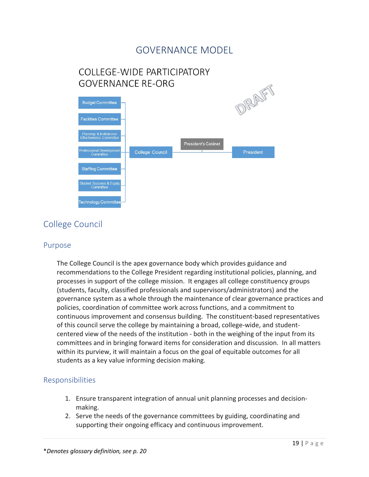## GOVERNANCE MODEL

<span id="page-19-0"></span>

## <span id="page-19-1"></span>College Council

#### Purpose

The College Council is the apex governance body which provides guidance and recommendations to the College President regarding institutional policies, planning, and processes in support of the college mission. It engages all college constituency groups (students, faculty, classified professionals and supervisors/administrators) and the governance system as a whole through the maintenance of clear governance practices and policies, coordination of committee work across functions, and a commitment to continuous improvement and consensus building. The constituent-based representatives of this council serve the college by maintaining a broad, college-wide, and studentcentered view of the needs of the institution - both in the weighing of the input from its committees and in bringing forward items for consideration and discussion. In all matters within its purview, it will maintain a focus on the goal of equitable outcomes for all students as a key value informing decision making.

#### Responsibilities

- 1. Ensure transparent integration of annual unit planning processes and decisionmaking.
- 2. Serve the needs of the governance committees by guiding, coordinating and supporting their ongoing efficacy and continuous improvement.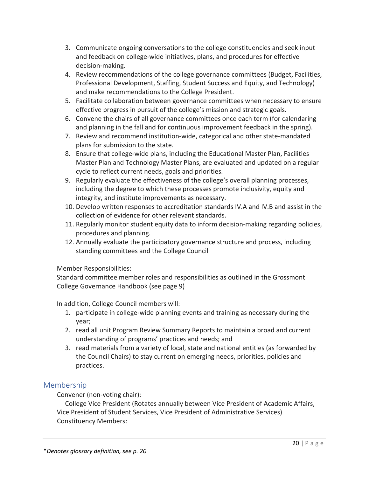- 3. Communicate ongoing conversations to the college constituencies and seek input and feedback on college-wide initiatives, plans, and procedures for effective decision-making.
- 4. Review recommendations of the college governance committees (Budget, Facilities, Professional Development, Staffing, Student Success and Equity, and Technology) and make recommendations to the College President.
- 5. Facilitate collaboration between governance committees when necessary to ensure effective progress in pursuit of the college's mission and strategic goals.
- 6. Convene the chairs of all governance committees once each term (for calendaring and planning in the fall and for continuous improvement feedback in the spring).
- 7. Review and recommend institution-wide, categorical and other state-mandated plans for submission to the state.
- 8. Ensure that college-wide plans, including the Educational Master Plan, Facilities Master Plan and Technology Master Plans, are evaluated and updated on a regular cycle to reflect current needs, goals and priorities.
- 9. Regularly evaluate the effectiveness of the college's overall planning processes, including the degree to which these processes promote inclusivity, equity and integrity, and institute improvements as necessary.
- 10. Develop written responses to accreditation standards IV.A and IV.B and assist in the collection of evidence for other relevant standards.
- 11. Regularly monitor student equity data to inform decision-making regarding policies, procedures and planning.
- 12. Annually evaluate the participatory governance structure and process, including standing committees and the College Council

Member Responsibilities:

Standard committee member roles and responsibilities as outlined in the Grossmont College Governance Handbook (see page 9)

In addition, College Council members will:

- 1. participate in college-wide planning events and training as necessary during the year;
- 2. read all unit Program Review Summary Reports to maintain a broad and current understanding of programs' practices and needs; and
- 3. read materials from a variety of local, state and national entities (as forwarded by the Council Chairs) to stay current on emerging needs, priorities, policies and practices.

#### Membership

Convener (non-voting chair):

College Vice President (Rotates annually between Vice President of Academic Affairs, Vice President of Student Services, Vice President of Administrative Services) Constituency Members: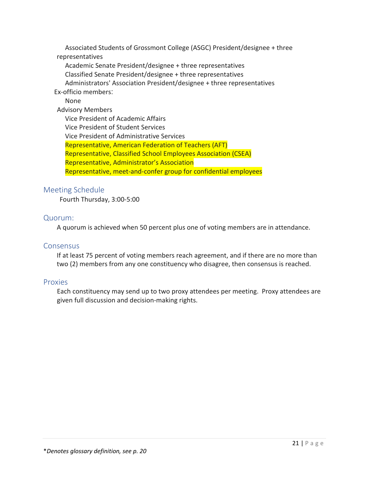Associated Students of Grossmont College (ASGC) President/designee + three representatives Academic Senate President/designee + three representatives Classified Senate President/designee + three representatives Administrators' Association President/designee + three representatives Ex-officio members: None Advisory Members Vice President of Academic Affairs Vice President of Student Services Vice President of Administrative Services Representative, American Federation of Teachers (AFT) Representative, Classified School Employees Association (CSEA) Representative, Administrator's Association Representative, meet-and-confer group for confidential employees

#### Meeting Schedule

Fourth Thursday, 3:00-5:00

#### Quorum:

A quorum is achieved when 50 percent plus one of voting members are in attendance.

#### Consensus

If at least 75 percent of voting members reach agreement, and if there are no more than two (2) members from any one constituency who disagree, then consensus is reached.

#### Proxies

Each constituency may send up to two proxy attendees per meeting. Proxy attendees are given full discussion and decision-making rights.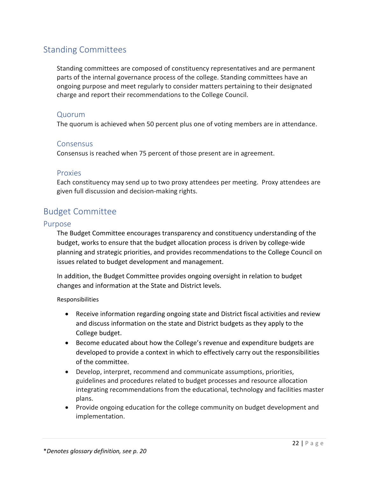## <span id="page-22-0"></span>Standing Committees

Standing committees are composed of constituency representatives and are permanent parts of the internal governance process of the college. Standing committees have an ongoing purpose and meet regularly to consider matters pertaining to their designated charge and report their recommendations to the College Council.

#### Quorum

The quorum is achieved when 50 percent plus one of voting members are in attendance.

#### **Consensus**

Consensus is reached when 75 percent of those present are in agreement.

#### Proxies

Each constituency may send up to two proxy attendees per meeting. Proxy attendees are given full discussion and decision-making rights.

## <span id="page-22-1"></span>Budget Committee

#### Purpose

The Budget Committee encourages transparency and constituency understanding of the budget, works to ensure that the budget allocation process is driven by college-wide planning and strategic priorities, and provides recommendations to the College Council on issues related to budget development and management.

In addition, the Budget Committee provides ongoing oversight in relation to budget changes and information at the State and District levels.

Responsibilities

- Receive information regarding ongoing state and District fiscal activities and review and discuss information on the state and District budgets as they apply to the College budget.
- Become educated about how the College's revenue and expenditure budgets are developed to provide a context in which to effectively carry out the responsibilities of the committee.
- Develop, interpret, recommend and communicate assumptions, priorities, guidelines and procedures related to budget processes and resource allocation integrating recommendations from the educational, technology and facilities master plans.
- Provide ongoing education for the college community on budget development and implementation.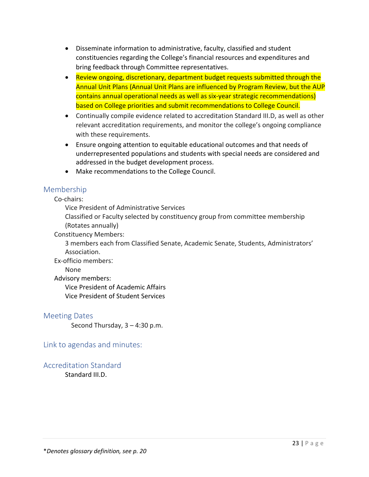- Disseminate information to administrative, faculty, classified and student constituencies regarding the College's financial resources and expenditures and bring feedback through Committee representatives.
- Review ongoing, discretionary, department budget requests submitted through the Annual Unit Plans (Annual Unit Plans are influenced by Program Review, but the AUP contains annual operational needs as well as six-year strategic recommendations) based on College priorities and submit recommendations to College Council.
- Continually compile evidence related to accreditation Standard III.D, as well as other relevant accreditation requirements, and monitor the college's ongoing compliance with these requirements.
- Ensure ongoing attention to equitable educational outcomes and that needs of underrepresented populations and students with special needs are considered and addressed in the budget development process.
- Make recommendations to the College Council.

#### Membership

Co-chairs:

Vice President of Administrative Services

Classified or Faculty selected by constituency group from committee membership (Rotates annually)

Constituency Members:

3 members each from Classified Senate, Academic Senate, Students, Administrators' Association.

Ex-officio members:

None

Advisory members:

Vice President of Academic Affairs

Vice President of Student Services

#### Meeting Dates

Second Thursday, 3 – 4:30 p.m.

#### Link to agendas and minutes:

Accreditation Standard

Standard III.D.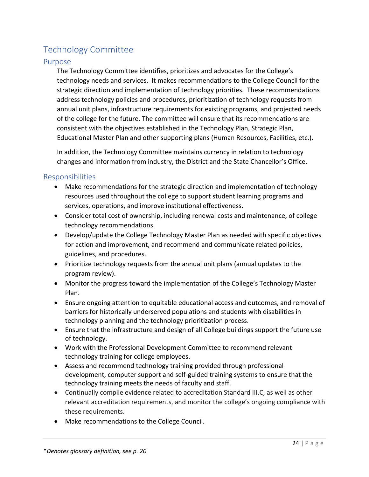## <span id="page-24-0"></span>Technology Committee

#### Purpose

The Technology Committee identifies, prioritizes and advocates for the College's technology needs and services. It makes recommendations to the College Council for the strategic direction and implementation of technology priorities. These recommendations address technology policies and procedures, prioritization of technology requests from annual unit plans, infrastructure requirements for existing programs, and projected needs of the college for the future. The committee will ensure that its recommendations are consistent with the objectives established in the Technology Plan, Strategic Plan, Educational Master Plan and other supporting plans (Human Resources, Facilities, etc.).

In addition, the Technology Committee maintains currency in relation to technology changes and information from industry, the District and the State Chancellor's Office.

#### Responsibilities

- Make recommendations for the strategic direction and implementation of technology resources used throughout the college to support student learning programs and services, operations, and improve institutional effectiveness.
- Consider total cost of ownership, including renewal costs and maintenance, of college technology recommendations.
- Develop/update the College Technology Master Plan as needed with specific objectives for action and improvement, and recommend and communicate related policies, guidelines, and procedures.
- Prioritize technology requests from the annual unit plans (annual updates to the program review).
- Monitor the progress toward the implementation of the College's Technology Master Plan.
- Ensure ongoing attention to equitable educational access and outcomes, and removal of barriers for historically underserved populations and students with disabilities in technology planning and the technology prioritization process.
- Ensure that the infrastructure and design of all College buildings support the future use of technology.
- Work with the Professional Development Committee to recommend relevant technology training for college employees.
- Assess and recommend technology training provided through professional development, computer support and self-guided training systems to ensure that the technology training meets the needs of faculty and staff.
- Continually compile evidence related to accreditation Standard III.C, as well as other relevant accreditation requirements, and monitor the college's ongoing compliance with these requirements.
- Make recommendations to the College Council.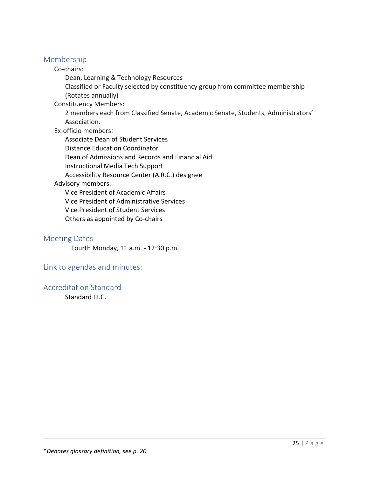#### Membership

#### Co-chairs:

Dean, Learning & Technology Resources

Classified or Faculty selected by constituency group from committee membership (Rotates annually)

Constituency Members:

2 members each from Classified Senate, Academic Senate, Students, Administrators' Association.

#### Ex-officio members:

Associate Dean of Student Services Distance Education Coordinator

Dean of Admissions and Records and Financial Aid

Instructional Media Tech Support

Accessibility Resource Center (A.R.C.) designee

#### Advisory members:

Vice President of Academic Affairs Vice President of Administrative Services Vice President of Student Services Others as appointed by Co-chairs

#### Meeting Dates

Fourth Monday, 11 a.m. - 12:30 p.m.

#### Link to agendas and minutes:

#### Accreditation Standard

Standard III.C.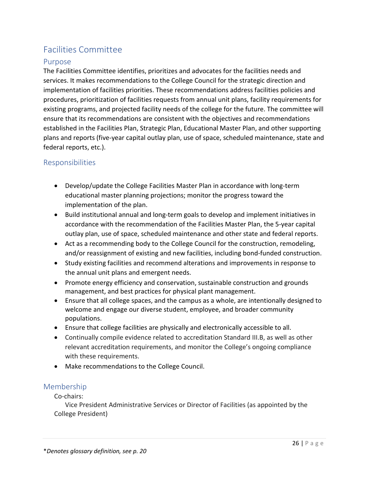## <span id="page-26-0"></span>Facilities Committee

#### Purpose

The Facilities Committee identifies, prioritizes and advocates for the facilities needs and services. It makes recommendations to the College Council for the strategic direction and implementation of facilities priorities. These recommendations address facilities policies and procedures, prioritization of facilities requests from annual unit plans, facility requirements for existing programs, and projected facility needs of the college for the future. The committee will ensure that its recommendations are consistent with the objectives and recommendations established in the Facilities Plan, Strategic Plan, Educational Master Plan, and other supporting plans and reports (five-year capital outlay plan, use of space, scheduled maintenance, state and federal reports, etc.).

#### Responsibilities

- Develop/update the College Facilities Master Plan in accordance with long-term educational master planning projections; monitor the progress toward the implementation of the plan.
- Build institutional annual and long-term goals to develop and implement initiatives in accordance with the recommendation of the Facilities Master Plan, the 5-year capital outlay plan, use of space, scheduled maintenance and other state and federal reports.
- Act as a recommending body to the College Council for the construction, remodeling, and/or reassignment of existing and new facilities, including bond-funded construction.
- Study existing facilities and recommend alterations and improvements in response to the annual unit plans and emergent needs.
- Promote energy efficiency and conservation, sustainable construction and grounds management, and best practices for physical plant management.
- Ensure that all college spaces, and the campus as a whole, are intentionally designed to welcome and engage our diverse student, employee, and broader community populations.
- Ensure that college facilities are physically and electronically accessible to all.
- Continually compile evidence related to accreditation Standard III.B, as well as other relevant accreditation requirements, and monitor the College's ongoing compliance with these requirements.
- Make recommendations to the College Council.

#### Membership

Co-chairs:

Vice President Administrative Services or Director of Facilities (as appointed by the College President)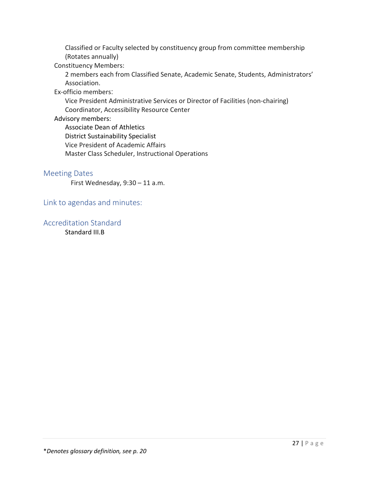Classified or Faculty selected by constituency group from committee membership (Rotates annually)

Constituency Members:

2 members each from Classified Senate, Academic Senate, Students, Administrators' Association.

Ex-officio members:

Vice President Administrative Services or Director of Facilities (non-chairing) Coordinator, Accessibility Resource Center

Advisory members:

Associate Dean of Athletics District Sustainability Specialist Vice President of Academic Affairs Master Class Scheduler, Instructional Operations

#### Meeting Dates

First Wednesday, 9:30 – 11 a.m.

Link to agendas and minutes:

Accreditation Standard Standard III.B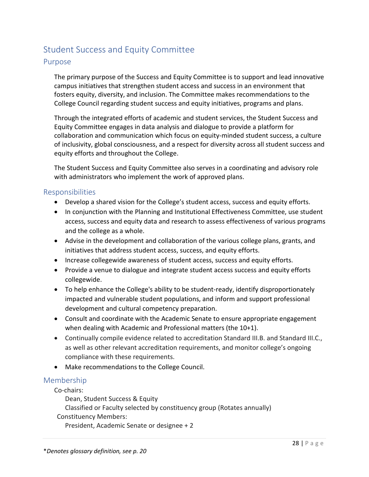## <span id="page-28-0"></span>Student Success and Equity Committee

#### Purpose

The primary purpose of the Success and Equity Committee is to support and lead innovative campus initiatives that strengthen student access and success in an environment that fosters equity, diversity, and inclusion. The Committee makes recommendations to the College Council regarding student success and equity initiatives, programs and plans.

Through the integrated efforts of academic and student services, the Student Success and Equity Committee engages in data analysis and dialogue to provide a platform for collaboration and communication which focus on equity-minded student success, a culture of inclusivity, global consciousness, and a respect for diversity across all student success and equity efforts and throughout the College.

The Student Success and Equity Committee also serves in a coordinating and advisory role with administrators who implement the work of approved plans.

#### Responsibilities

- Develop a shared vision for the College's student access, success and equity efforts.
- In conjunction with the Planning and Institutional Effectiveness Committee, use student access, success and equity data and research to assess effectiveness of various programs and the college as a whole.
- Advise in the development and collaboration of the various college plans, grants, and initiatives that address student access, success, and equity efforts.
- Increase collegewide awareness of student access, success and equity efforts.
- Provide a venue to dialogue and integrate student access success and equity efforts collegewide.
- To help enhance the College's ability to be student-ready, identify disproportionately impacted and vulnerable student populations, and inform and support professional development and cultural competency preparation.
- Consult and coordinate with the Academic Senate to ensure appropriate engagement when dealing with Academic and Professional matters (the 10+1).
- Continually compile evidence related to accreditation Standard III.B. and Standard III.C., as well as other relevant accreditation requirements, and monitor college's ongoing compliance with these requirements.
- Make recommendations to the College Council.

#### Membership

Co-chairs:

Dean, Student Success & Equity

Classified or Faculty selected by constituency group (Rotates annually)

Constituency Members:

President, Academic Senate or designee + 2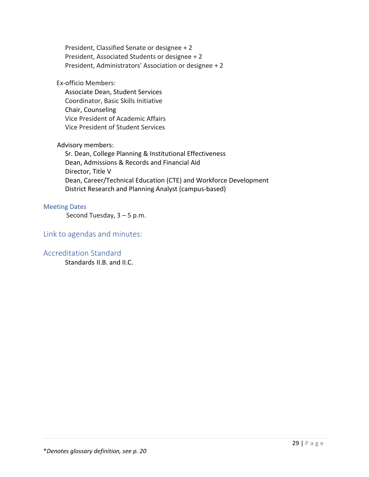President, Classified Senate or designee + 2 President, Associated Students or designee + 2 President, Administrators' Association or designee + 2

Ex-officio Members:

Associate Dean, Student Services Coordinator, Basic Skills Initiative Chair, Counseling Vice President of Academic Affairs Vice President of Student Services

Advisory members:

Sr. Dean, College Planning & Institutional Effectiveness Dean, Admissions & Records and Financial Aid Director, Title V Dean, Career/Technical Education (CTE) and Workforce Development District Research and Planning Analyst (campus-based)

#### Meeting Dates

Second Tuesday, 3 – 5 p.m.

#### Link to agendas and minutes:

#### Accreditation Standard

Standards II.B. and II.C.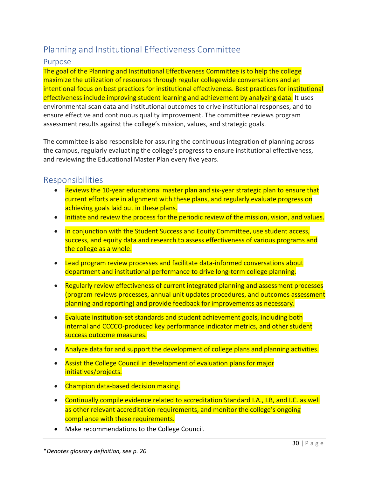## <span id="page-30-0"></span>Planning and Institutional Effectiveness Committee

#### Purpose

The goal of the Planning and Institutional Effectiveness Committee is to help the college maximize the utilization of resources through regular collegewide conversations and an intentional focus on best practices for institutional effectiveness. Best practices for institutional effectiveness include improving student learning and achievement by analyzing data. It uses environmental scan data and institutional outcomes to drive institutional responses, and to ensure effective and continuous quality improvement. The committee reviews program assessment results against the college's mission, values, and strategic goals.

The committee is also responsible for assuring the continuous integration of planning across the campus, regularly evaluating the college's progress to ensure institutional effectiveness, and reviewing the Educational Master Plan every five years.

## Responsibilities

- Reviews the 10-year educational master plan and six-year strategic plan to ensure that current efforts are in alignment with these plans, and regularly evaluate progress on achieving goals laid out in these plans.
- Initiate and review the process for the periodic review of the mission, vision, and values.
- In conjunction with the Student Success and Equity Committee, use student access, success, and equity data and research to assess effectiveness of various programs and the college as a whole.
- Lead program review processes and facilitate data-informed conversations about department and institutional performance to drive long-term college planning.
- Regularly review effectiveness of current integrated planning and assessment processes (program reviews processes, annual unit updates procedures, and outcomes assessment planning and reporting) and provide feedback for improvements as necessary.
- Evaluate institution-set standards and student achievement goals, including both internal and CCCCO-produced key performance indicator metrics, and other student success outcome measures.
- Analyze data for and support the development of college plans and planning activities.
- Assist the College Council in development of evaluation plans for major initiatives/projects.
- Champion data-based decision making.
- Continually compile evidence related to accreditation Standard I.A., I.B, and I.C. as well as other relevant accreditation requirements, and monitor the college's ongoing compliance with these requirements.
- Make recommendations to the College Council.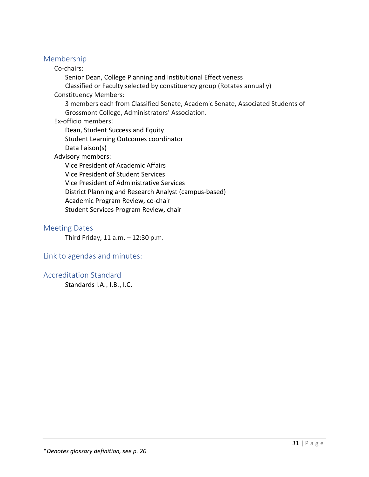#### Membership

#### Co-chairs:

Senior Dean, College Planning and Institutional Effectiveness Classified or Faculty selected by constituency group (Rotates annually) Constituency Members:

3 members each from Classified Senate, Academic Senate, Associated Students of Grossmont College, Administrators' Association.

#### Ex-officio members:

Dean, Student Success and Equity Student Learning Outcomes coordinator Data liaison(s)

#### Advisory members:

Vice President of Academic Affairs

Vice President of Student Services

Vice President of Administrative Services

District Planning and Research Analyst (campus-based)

Academic Program Review, co-chair

Student Services Program Review, chair

#### Meeting Dates

Third Friday, 11 a.m. – 12:30 p.m.

#### Link to agendas and minutes:

#### Accreditation Standard

Standards I.A., I.B., I.C.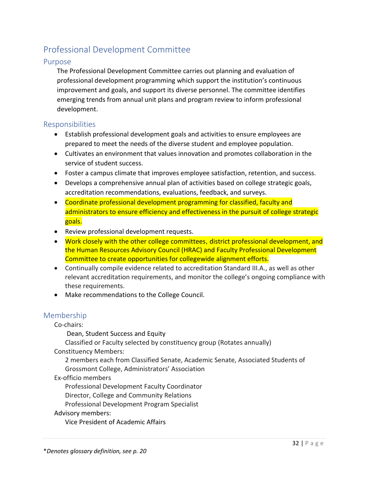## <span id="page-32-0"></span>Professional Development Committee

#### Purpose

The Professional Development Committee carries out planning and evaluation of professional development programming which support the institution's continuous improvement and goals, and support its diverse personnel. The committee identifies emerging trends from annual unit plans and program review to inform professional development.

#### Responsibilities

- Establish professional development goals and activities to ensure employees are prepared to meet the needs of the diverse student and employee population.
- Cultivates an environment that values innovation and promotes collaboration in the service of student success.
- Foster a campus climate that improves employee satisfaction, retention, and success.
- Develops a comprehensive annual plan of activities based on college strategic goals, accreditation recommendations, evaluations, feedback, and surveys.
- Coordinate professional development programming for classified, faculty and administrators to ensure efficiency and effectiveness in the pursuit of college strategic goals.
- Review professional development requests.
- Work closely with the other college committees, district professional development, and the Human Resources Advisory Council (HRAC) and Faculty Professional Development Committee to create opportunities for collegewide alignment efforts.
- Continually compile evidence related to accreditation Standard III.A., as well as other relevant accreditation requirements, and monitor the college's ongoing compliance with these requirements.
- Make recommendations to the College Council.

#### Membership

Co-chairs:

Dean, Student Success and Equity

Classified or Faculty selected by constituency group (Rotates annually)

Constituency Members:

2 members each from Classified Senate, Academic Senate, Associated Students of Grossmont College, Administrators' Association

Ex-officio members

Professional Development Faculty Coordinator

Director, College and Community Relations

Professional Development Program Specialist

#### Advisory members:

Vice President of Academic Affairs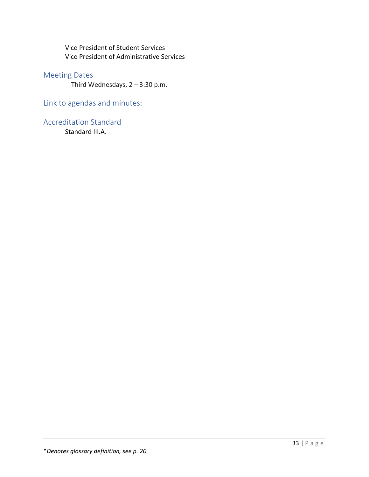Vice President of Student Services Vice President of Administrative Services

#### Meeting Dates

Third Wednesdays, 2 – 3:30 p.m.

Link to agendas and minutes:

Accreditation Standard

Standard III.A.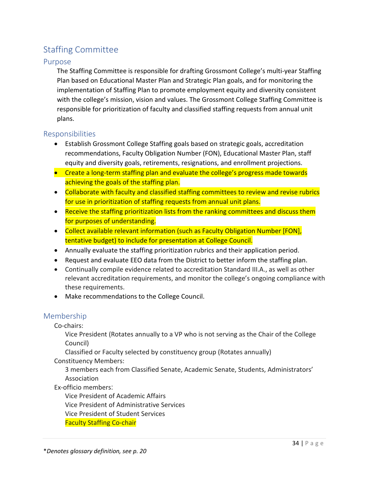## <span id="page-34-0"></span>Staffing Committee

#### Purpose

The Staffing Committee is responsible for drafting Grossmont College's multi-year Staffing Plan based on Educational Master Plan and Strategic Plan goals, and for monitoring the implementation of Staffing Plan to promote employment equity and diversity consistent with the college's mission, vision and values. The Grossmont College Staffing Committee is responsible for prioritization of faculty and classified staffing requests from annual unit plans.

#### Responsibilities

- Establish Grossmont College Staffing goals based on strategic goals, accreditation recommendations, Faculty Obligation Number (FON), Educational Master Plan, staff equity and diversity goals, retirements, resignations, and enrollment projections.
- Create a long-term staffing plan and evaluate the college's progress made towards achieving the goals of the staffing plan.
- Collaborate with faculty and classified staffing committees to review and revise rubrics for use in prioritization of staffing requests from annual unit plans.
- Receive the staffing prioritization lists from the ranking committees and discuss them for purposes of understanding.
- Collect available relevant information (such as Faculty Obligation Number [FON], tentative budget) to include for presentation at College Council.
- Annually evaluate the staffing prioritization rubrics and their application period.
- Request and evaluate EEO data from the District to better inform the staffing plan.
- Continually compile evidence related to accreditation Standard III.A., as well as other relevant accreditation requirements, and monitor the college's ongoing compliance with these requirements.
- Make recommendations to the College Council.

#### Membership

Co-chairs:

Vice President (Rotates annually to a VP who is not serving as the Chair of the College Council)

Classified or Faculty selected by constituency group (Rotates annually)

Constituency Members:

3 members each from Classified Senate, Academic Senate, Students, Administrators' Association

Ex-officio members:

Vice President of Academic Affairs Vice President of Administrative Services Vice President of Student Services

Faculty Staffing Co-chair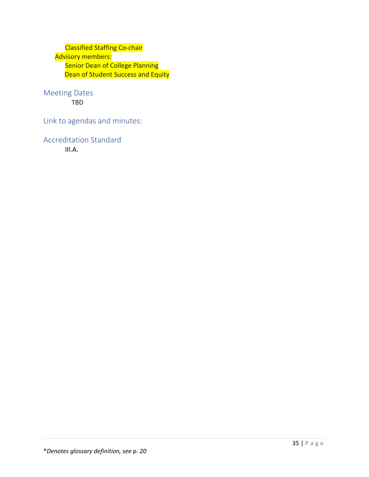Classified Staffing Co-chair Advisory members: **Senior Dean of College Planning** Dean of Student Success and Equity

Meeting Dates TBD

Link to agendas and minutes:

Accreditation Standard III.A.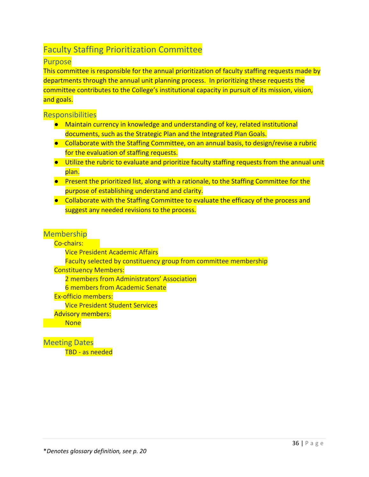## <span id="page-36-0"></span>Faculty Staffing Prioritization Committee

#### Purpose

This committee is responsible for the annual prioritization of faculty staffing requests made by departments through the annual unit planning process. In prioritizing these requests the committee contributes to the College's institutional capacity in pursuit of its mission, vision, and goals.

#### **Responsibilities**

- Maintain currency in knowledge and understanding of key, related institutional documents, such as the Strategic Plan and the Integrated Plan Goals.
- Collaborate with the Staffing Committee, on an annual basis, to design/revise a rubric for the evaluation of staffing requests.
- Utilize the rubric to evaluate and prioritize faculty staffing requests from the annual unit plan.
- Present the prioritized list, along with a rationale, to the Staffing Committee for the purpose of establishing understand and clarity.
- Collaborate with the Staffing Committee to evaluate the efficacy of the process and suggest any needed revisions to the process.

#### **Membership**

Co-chairs: Vice President Academic Affairs Faculty selected by constituency group from committee membership Constituency Members: 2 members from Administrators' Association 6 members from Academic Senate Ex-officio members: Vice President Student Services Advisory members: **None** 

Meeting Dates TBD - as needed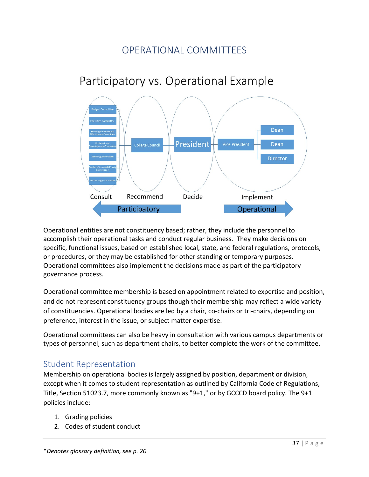# OPERATIONAL COMMITTEES



# <span id="page-37-0"></span>Participatory vs. Operational Example

Operational entities are not constituency based; rather, they include the personnel to accomplish their operational tasks and conduct regular business. They make decisions on specific, functional issues, based on established local, state, and federal regulations, protocols, or procedures, or they may be established for other standing or temporary purposes. Operational committees also implement the decisions made as part of the participatory governance process.

Operational committee membership is based on appointment related to expertise and position, and do not represent constituency groups though their membership may reflect a wide variety of constituencies. Operational bodies are led by a chair, co-chairs or tri-chairs, depending on preference, interest in the issue, or subject matter expertise.

Operational committees can also be heavy in consultation with various campus departments or types of personnel, such as department chairs, to better complete the work of the committee.

## <span id="page-37-1"></span>Student Representation

Membership on operational bodies is largely assigned by position, department or division, except when it comes to student representation as outlined by California Code of Regulations, Title, Section 51023.7, more commonly known as "9+1," or by GCCCD board policy. The 9+1 policies include:

- 1. Grading policies
- 2. Codes of student conduct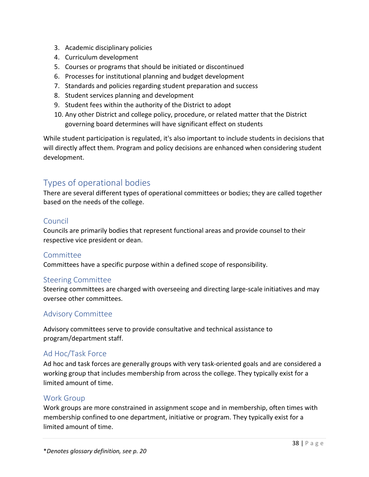- 3. Academic disciplinary policies
- 4. Curriculum development
- 5. Courses or programs that should be initiated or discontinued
- 6. Processes for institutional planning and budget development
- 7. Standards and policies regarding student preparation and success
- 8. Student services planning and development
- 9. Student fees within the authority of the District to adopt
- 10. Any other District and college policy, procedure, or related matter that the District governing board determines will have significant effect on students

While student participation is regulated, it's also important to include students in decisions that will directly affect them. Program and policy decisions are enhanced when considering student development.

## <span id="page-38-0"></span>Types of operational bodies

There are several different types of operational committees or bodies; they are called together based on the needs of the college.

#### Council

Councils are primarily bodies that represent functional areas and provide counsel to their respective vice president or dean.

#### Committee

Committees have a specific purpose within a defined scope of responsibility.

#### Steering Committee

Steering committees are charged with overseeing and directing large-scale initiatives and may oversee other committees.

#### Advisory Committee

Advisory committees serve to provide consultative and technical assistance to program/department staff.

#### Ad Hoc/Task Force

Ad hoc and task forces are generally groups with very task-oriented goals and are considered a working group that includes membership from across the college. They typically exist for a limited amount of time.

#### Work Group

Work groups are more constrained in assignment scope and in membership, often times with membership confined to one department, initiative or program. They typically exist for a limited amount of time.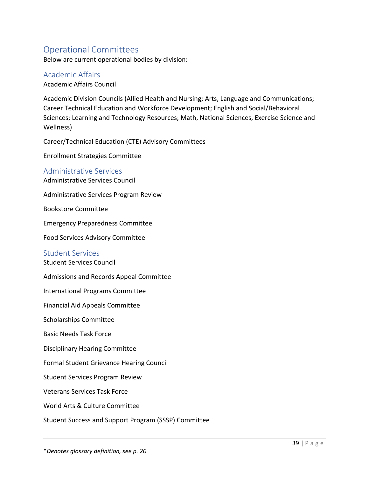## <span id="page-39-0"></span>Operational Committees

Below are current operational bodies by division:

#### Academic Affairs

Academic Affairs Council

Academic Division Councils (Allied Health and Nursing; Arts, Language and Communications; Career Technical Education and Workforce Development; English and Social/Behavioral Sciences; Learning and Technology Resources; Math, National Sciences, Exercise Science and Wellness)

Career/Technical Education (CTE) Advisory Committees

Enrollment Strategies Committee

#### Administrative Services

Administrative Services Council

Administrative Services Program Review

Bookstore Committee

Emergency Preparedness Committee

Food Services Advisory Committee

#### Student Services

Student Services Council

Admissions and Records Appeal Committee

International Programs Committee

Financial Aid Appeals Committee

Scholarships Committee

Basic Needs Task Force

Disciplinary Hearing Committee

Formal Student Grievance Hearing Council

Student Services Program Review

Veterans Services Task Force

World Arts & Culture Committee

Student Success and Support Program (SSSP) Committee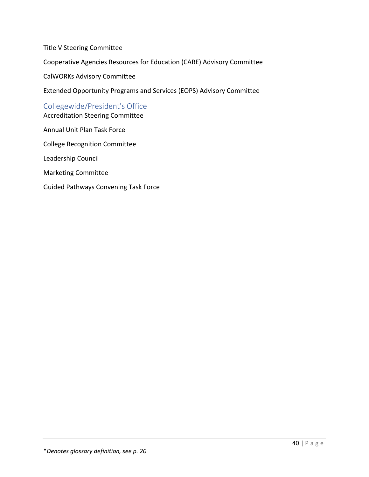Title V Steering Committee

Cooperative Agencies Resources for Education (CARE) Advisory Committee

CalWORKs Advisory Committee

Extended Opportunity Programs and Services (EOPS) Advisory Committee

#### Collegewide/President's Office

Accreditation Steering Committee

Annual Unit Plan Task Force

College Recognition Committee

Leadership Council

Marketing Committee

Guided Pathways Convening Task Force